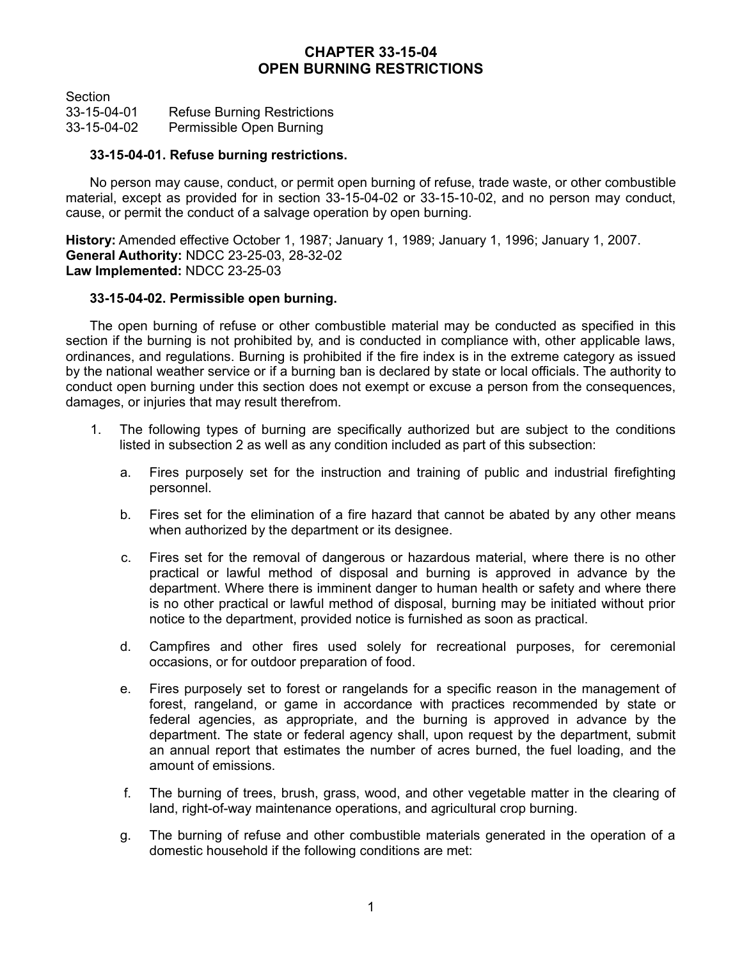## **CHAPTER 33-15-04 OPEN BURNING RESTRICTIONS**

**Section** 33-15-04-01 Refuse Burning Restrictions 33-15-04-02 Permissible Open Burning

## **33-15-04-01. Refuse burning restrictions.**

No person may cause, conduct, or permit open burning of refuse, trade waste, or other combustible material, except as provided for in section 33-15-04-02 or 33-15-10-02, and no person may conduct, cause, or permit the conduct of a salvage operation by open burning.

**History:** Amended effective October 1, 1987; January 1, 1989; January 1, 1996; January 1, 2007. **General Authority:** NDCC 23-25-03, 28-32-02 **Law Implemented:** NDCC 23-25-03

## **33-15-04-02. Permissible open burning.**

The open burning of refuse or other combustible material may be conducted as specified in this section if the burning is not prohibited by, and is conducted in compliance with, other applicable laws, ordinances, and regulations. Burning is prohibited if the fire index is in the extreme category as issued by the national weather service or if a burning ban is declared by state or local officials. The authority to conduct open burning under this section does not exempt or excuse a person from the consequences, damages, or injuries that may result therefrom.

- 1. The following types of burning are specifically authorized but are subject to the conditions listed in subsection 2 as well as any condition included as part of this subsection:
	- a. Fires purposely set for the instruction and training of public and industrial firefighting personnel.
	- b. Fires set for the elimination of a fire hazard that cannot be abated by any other means when authorized by the department or its designee.
	- c. Fires set for the removal of dangerous or hazardous material, where there is no other practical or lawful method of disposal and burning is approved in advance by the department. Where there is imminent danger to human health or safety and where there is no other practical or lawful method of disposal, burning may be initiated without prior notice to the department, provided notice is furnished as soon as practical.
	- d. Campfires and other fires used solely for recreational purposes, for ceremonial occasions, or for outdoor preparation of food.
	- e. Fires purposely set to forest or rangelands for a specific reason in the management of forest, rangeland, or game in accordance with practices recommended by state or federal agencies, as appropriate, and the burning is approved in advance by the department. The state or federal agency shall, upon request by the department, submit an annual report that estimates the number of acres burned, the fuel loading, and the amount of emissions.
	- f. The burning of trees, brush, grass, wood, and other vegetable matter in the clearing of land, right-of-way maintenance operations, and agricultural crop burning.
	- g. The burning of refuse and other combustible materials generated in the operation of a domestic household if the following conditions are met: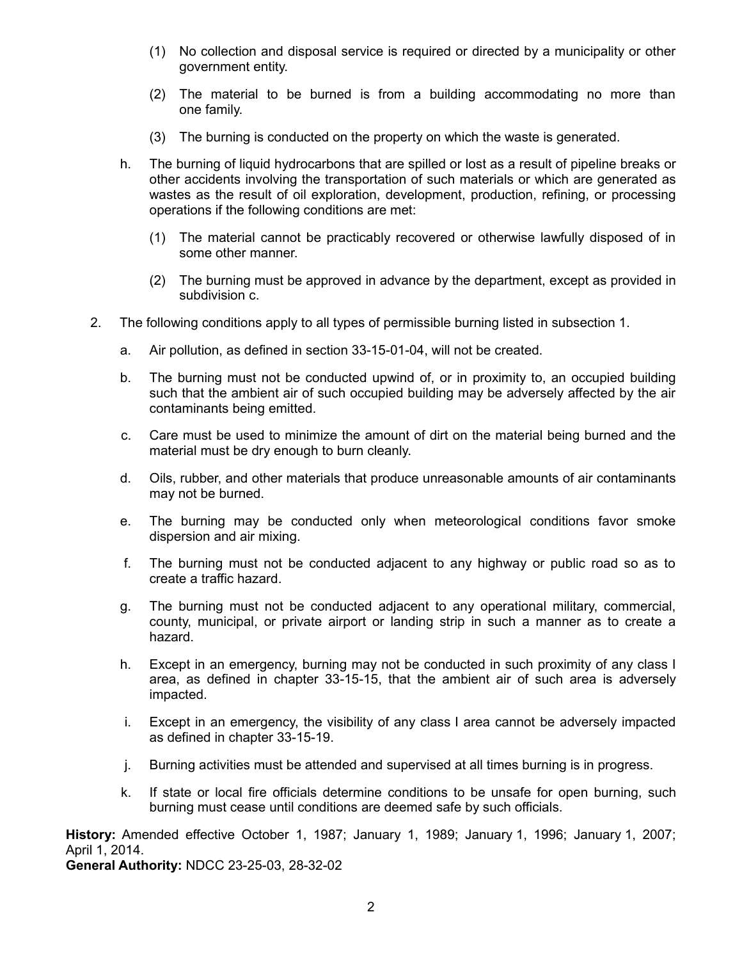- (1) No collection and disposal service is required or directed by a municipality or other government entity.
- (2) The material to be burned is from a building accommodating no more than one family.
- (3) The burning is conducted on the property on which the waste is generated.
- h. The burning of liquid hydrocarbons that are spilled or lost as a result of pipeline breaks or other accidents involving the transportation of such materials or which are generated as wastes as the result of oil exploration, development, production, refining, or processing operations if the following conditions are met:
	- (1) The material cannot be practicably recovered or otherwise lawfully disposed of in some other manner.
	- (2) The burning must be approved in advance by the department, except as provided in subdivision c.
- 2. The following conditions apply to all types of permissible burning listed in subsection 1.
	- a. Air pollution, as defined in section 33-15-01-04, will not be created.
	- b. The burning must not be conducted upwind of, or in proximity to, an occupied building such that the ambient air of such occupied building may be adversely affected by the air contaminants being emitted.
	- c. Care must be used to minimize the amount of dirt on the material being burned and the material must be dry enough to burn cleanly.
	- d. Oils, rubber, and other materials that produce unreasonable amounts of air contaminants may not be burned.
	- e. The burning may be conducted only when meteorological conditions favor smoke dispersion and air mixing.
	- f. The burning must not be conducted adjacent to any highway or public road so as to create a traffic hazard.
	- g. The burning must not be conducted adjacent to any operational military, commercial, county, municipal, or private airport or landing strip in such a manner as to create a hazard.
	- h. Except in an emergency, burning may not be conducted in such proximity of any class I area, as defined in chapter 33-15-15, that the ambient air of such area is adversely impacted.
	- i. Except in an emergency, the visibility of any class I area cannot be adversely impacted as defined in chapter 33-15-19.
	- j. Burning activities must be attended and supervised at all times burning is in progress.
	- k. If state or local fire officials determine conditions to be unsafe for open burning, such burning must cease until conditions are deemed safe by such officials.

**History:** Amended effective October 1, 1987; January 1, 1989; January 1, 1996; January 1, 2007; April 1, 2014.

**General Authority:** NDCC 23-25-03, 28-32-02